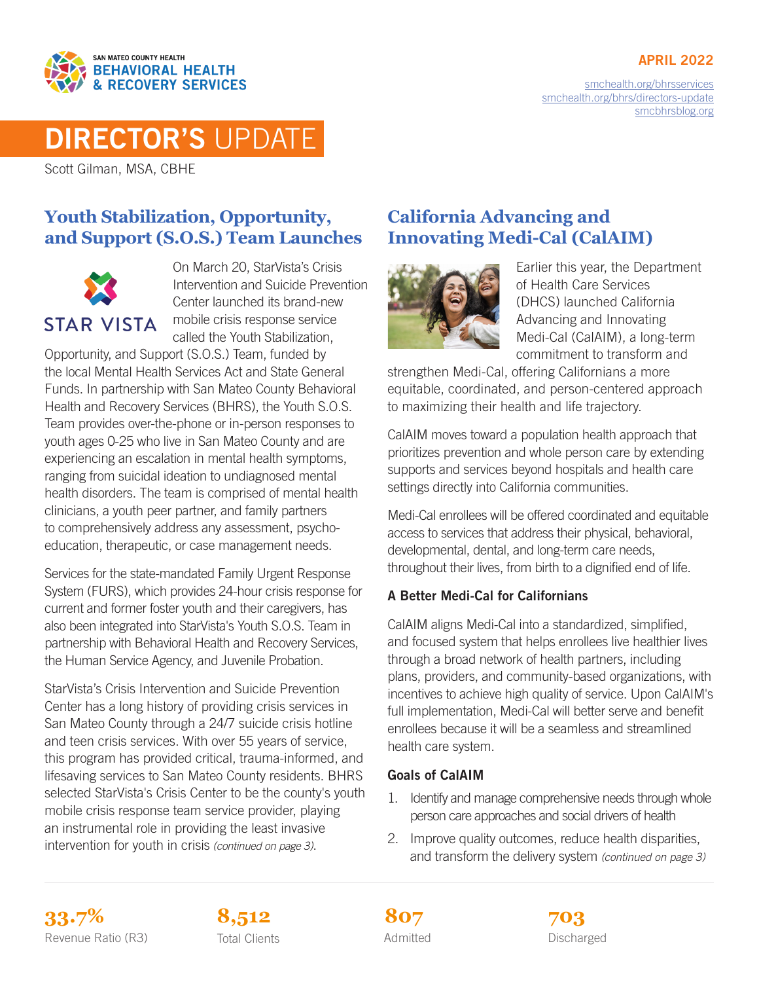#### APRIL 2022



[smchealth.org/bhrsservices](https://www.smchealth.org/bhrsservices) [smchealth.org/bhrs/directors-update](https://www.smchealth.org/bhrs/directors-update) [smcbhrsblog.org](http://www.smcbhrsblog.org)

# DIRECTOR'S UPDATE

Scott Gilman, MSA, CBHE

## **Youth Stabilization, Opportunity, and Support (S.O.S.) Team Launches**



On March 20, StarVista's Crisis Intervention and Suicide Prevention Center launched its brand-new mobile crisis response service called the Youth Stabilization,

Opportunity, and Support (S.O.S.) Team, funded by the local Mental Health Services Act and State General Funds. In partnership with San Mateo County Behavioral Health and Recovery Services (BHRS), the Youth S.O.S. Team provides over-the-phone or in-person responses to youth ages 0-25 who live in San Mateo County and are experiencing an escalation in mental health symptoms, ranging from suicidal ideation to undiagnosed mental health disorders. The team is comprised of mental health clinicians, a youth peer partner, and family partners to comprehensively address any assessment, psychoeducation, therapeutic, or case management needs.

Services for the state-mandated Family Urgent Response System (FURS), which provides 24-hour crisis response for current and former foster youth and their caregivers, has also been integrated into StarVista's Youth S.O.S. Team in partnership with Behavioral Health and Recovery Services, the Human Service Agency, and Juvenile Probation.

StarVista's Crisis Intervention and Suicide Prevention Center has a long history of providing crisis services in San Mateo County through a 24/7 suicide crisis hotline and teen crisis services. With over 55 years of service, this program has provided critical, trauma-informed, and lifesaving services to San Mateo County residents. BHRS selected StarVista's Crisis Center to be the county's youth mobile crisis response team service provider, playing an instrumental role in providing the least invasive intervention for youth in crisis *(continued on page 3)*.

# **California Advancing and Innovating Medi-Cal (CalAIM)**



Earlier this year, the Department of Health Care Services (DHCS) launched California Advancing and Innovating Medi-Cal (CalAIM), a long-term commitment to transform and

strengthen Medi-Cal, offering Californians a more equitable, coordinated, and person-centered approach to maximizing their health and life trajectory.

CalAIM moves toward a population health approach that prioritizes prevention and whole person care by extending supports and services beyond hospitals and health care settings directly into California communities.

Medi-Cal enrollees will be offered coordinated and equitable access to services that address their physical, behavioral, developmental, dental, and long-term care needs, throughout their lives, from birth to a dignified end of life.

#### A Better Medi-Cal for Californians

CalAIM aligns Medi-Cal into a standardized, simplified, and focused system that helps enrollees live healthier lives through a broad network of health partners, including plans, providers, and community-based organizations, with incentives to achieve high quality of service. Upon CalAIM's full implementation, Medi-Cal will better serve and benefit enrollees because it will be a seamless and streamlined health care system.

#### Goals of CalAIM

- 1. Identify and manage comprehensive needs through whole person care approaches and social drivers of health
- 2. Improve quality outcomes, reduce health disparities, and transform the delivery system *(continued on page 3)*

**33.7% 8,512 703** Revenue Ratio (R3) Total Clients Communication Admitted Clients Discharged



Admitted **807**

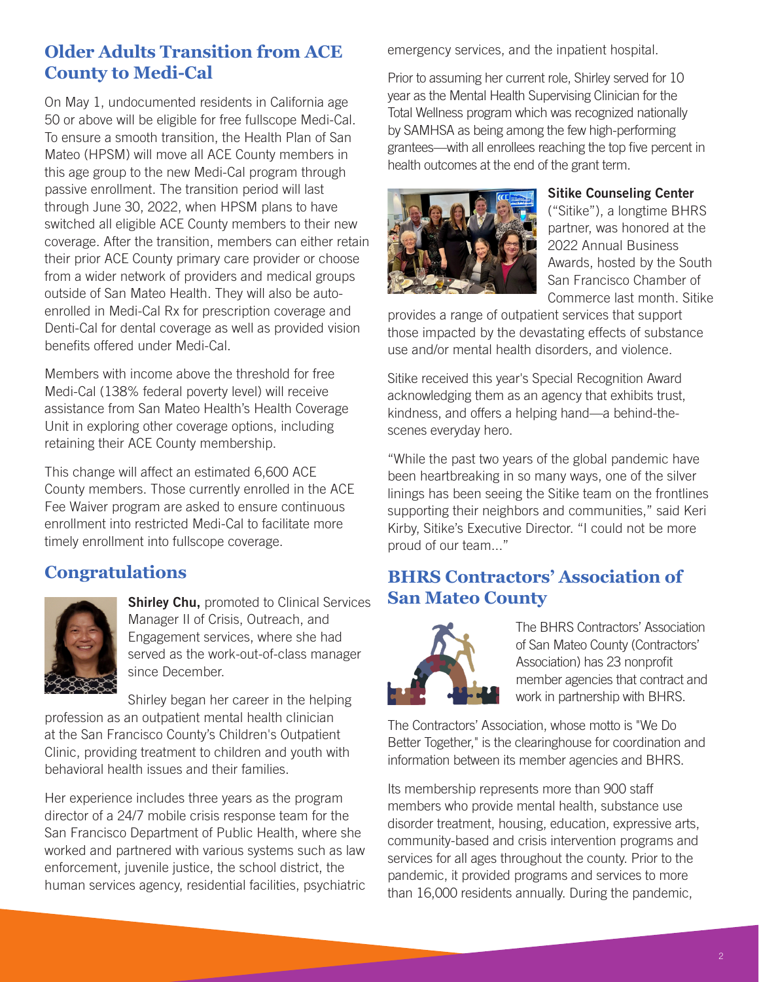# **Older Adults Transition from ACE County to Medi-Cal**

On May 1, undocumented residents in California age 50 or above will be eligible for free fullscope Medi-Cal. To ensure a smooth transition, the Health Plan of San Mateo (HPSM) will move all ACE County members in this age group to the new Medi-Cal program through passive enrollment. The transition period will last through June 30, 2022, when HPSM plans to have switched all eligible ACE County members to their new coverage. After the transition, members can either retain their prior ACE County primary care provider or choose from a wider network of providers and medical groups outside of San Mateo Health. They will also be autoenrolled in Medi-Cal Rx for prescription coverage and Denti-Cal for dental coverage as well as provided vision benefits offered under Medi-Cal.

Members with income above the threshold for free Medi-Cal (138% federal poverty level) will receive assistance from San Mateo Health's Health Coverage Unit in exploring other coverage options, including retaining their ACE County membership.

This change will affect an estimated 6,600 ACE County members. Those currently enrolled in the ACE Fee Waiver program are asked to ensure continuous enrollment into restricted Medi-Cal to facilitate more timely enrollment into fullscope coverage.

# **Congratulations**



**Shirley Chu, promoted to Clinical Services** Manager II of Crisis, Outreach, and Engagement services, where she had served as the work-out-of-class manager since December.

Shirley began her career in the helping profession as an outpatient mental health clinician at the San Francisco County's Children's Outpatient Clinic, providing treatment to children and youth with behavioral health issues and their families.

Her experience includes three years as the program director of a 24/7 mobile crisis response team for the San Francisco Department of Public Health, where she worked and partnered with various systems such as law enforcement, juvenile justice, the school district, the human services agency, residential facilities, psychiatric emergency services, and the inpatient hospital.

Prior to assuming her current role, Shirley served for 10 year as the Mental Health Supervising Clinician for the Total Wellness program which was recognized nationally by SAMHSA as being among the few high-performing grantees—with all enrollees reaching the top five percent in health outcomes at the end of the grant term.



#### Sitike Counseling Center

("Sitike"), a longtime BHRS partner, was honored at the 2022 Annual Business Awards, hosted by the South San Francisco Chamber of Commerce last month. Sitike

provides a range of outpatient services that support those impacted by the devastating effects of substance use and/or mental health disorders, and violence.

Sitike received this year's Special Recognition Award acknowledging them as an agency that exhibits trust, kindness, and offers a helping hand—a behind-thescenes everyday hero.

"While the past two years of the global pandemic have been heartbreaking in so many ways, one of the silver linings has been seeing the Sitike team on the frontlines supporting their neighbors and communities," said Keri Kirby, Sitike's Executive Director. "I could not be more proud of our team..."

## **BHRS Contractors' Association of San Mateo County**



The BHRS Contractors' Association of San Mateo County (Contractors' Association) has 23 nonprofit member agencies that contract and work in partnership with BHRS.

The Contractors' Association, whose motto is "We Do Better Together," is the clearinghouse for coordination and information between its member agencies and BHRS.

Its membership represents more than 900 staff members who provide mental health, substance use disorder treatment, housing, education, expressive arts, community-based and crisis intervention programs and services for all ages throughout the county. Prior to the pandemic, it provided programs and services to more than 16,000 residents annually. During the pandemic,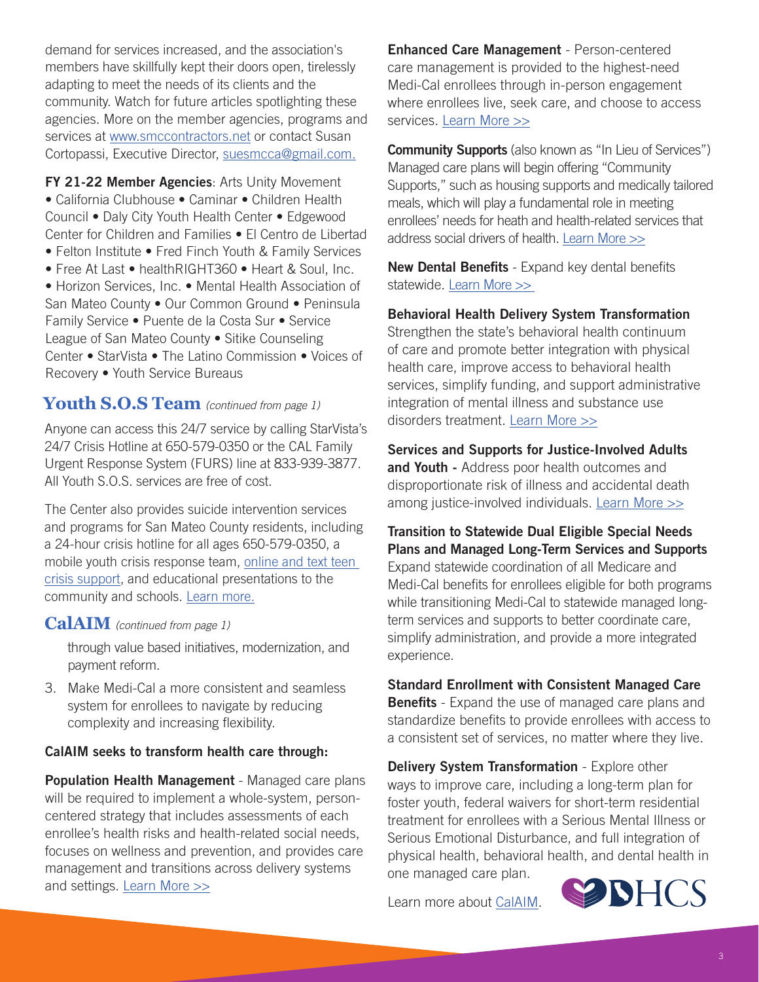demand for services increased, and the association's members have skillfully kept their doors open, tirelessly adapting to meet the needs of its clients and the community. Watch for future articles spotlighting these agencies. More on the member agencies, programs and services at [www.smccontractors.net](http://www.smccontractors.net) or contact Susan Cortopassi, Executive Director, [suesmcca@gmail.com](mailto:suesmcca%40gmail.com?subject=).

FY 21-22 Member Agencies: Arts Unity Movement • California Clubhouse • Caminar • Children Health Council • Daly City Youth Health Center • Edgewood Center for Children and Families • El Centro de Libertad • Felton Institute • Fred Finch Youth & Family Services • Free At Last • healthRIGHT360 • Heart & Soul, Inc.

• Horizon Services, Inc. • Mental Health Association of San Mateo County • Our Common Ground • Peninsula Family Service • Puente de la Costa Sur • Service League of San Mateo County • Sitike Counseling Center • StarVista • The Latino Commission • Voices of Recovery • Youth Service Bureaus

#### **Youth S.O.S Team** *(continued from page 1)*

Anyone can access this 24/7 service by calling StarVista's 24/7 Crisis Hotline at 650-579-0350 or the CAL Family Urgent Response System (FURS) line at 833-939-3877. All Youth S.O.S. services are free of cost.

The Center also provides suicide intervention services and programs for San Mateo County residents, including a 24-hour crisis hotline for all ages 650-579-0350, a mobile youth crisis response team, [online and text teen](http://www.sanmateocrisis.org)  [crisis support](http://www.sanmateocrisis.org), and educational presentations to the community and schools. [Learn more](https://star-vista.org/programs/crisis-center/).

#### **CalAIM** *(continued from page 1)*

through value based initiatives, modernization, and payment reform.

3. Make Medi-Cal a more consistent and seamless system for enrollees to navigate by reducing complexity and increasing flexibility.

#### CalAIM seeks to transform health care through:

Population Health Management - Managed care plans will be required to implement a whole-system, personcentered strategy that includes assessments of each enrollee's health risks and health-related social needs, focuses on wellness and prevention, and provides care management and transitions across delivery systems and settings. [Learn More](https://www.dhcs.ca.gov/CalAIM/Documents/CalAIM-PH-a11y.pdf) >>

Enhanced Care Management - Person-centered care management is provided to the highest-need Medi-Cal enrollees through in-person engagement where enrollees live, seek care, and choose to access services. [Learn More](https://www.dhcs.ca.gov/CalAIM/Documents/CalAIM-ECM-a11y.pdf) >>

**Community Supports** (also known as "In Lieu of Services") Managed care plans will begin offering "Community Supports," such as housing supports and medically tailored meals, which will play a fundamental role in meeting enrollees' needs for heath and health-related services that address social drivers of health. [Learn More >>](https://www.dhcs.ca.gov/CalAIM/Documents/CalAIM-CS-a11y.pdf)

New Dental Benefits - Expand key dental benefits statewide. [Learn More >>](https://www.dhcs.ca.gov/services/Pages/DHCS-CalAIM-Dental.aspx)

Behavioral Health Delivery System Transformation

Strengthen the state's behavioral health continuum of care and promote better integration with physical health care, improve access to behavioral health services, simplify funding, and support administrative integration of mental illness and substance use disorders treatment. [Learn More >>](https://www.dhcs.ca.gov/Pages/BH-CalAIM-Webpage.aspx)

Services and Supports for Justice-Involved Adults and Youth - Address poor health outcomes and disproportionate risk of illness and accidental death among justice-involved individuals. [Learn More >>](https://www.dhcs.ca.gov/CalAIM/Documents/CalAIM-JI-a11y.pdf)

Transition to Statewide Dual Eligible Special Needs Plans and Managed Long-Term Services and Supports Expand statewide coordination of all Medicare and Medi-Cal benefits for enrollees eligible for both programs while transitioning Medi-Cal to statewide managed longterm services and supports to better coordinate care, simplify administration, and provide a more integrated experience.

#### Standard Enrollment with Consistent Managed Care

**Benefits** - Expand the use of managed care plans and standardize benefits to provide enrollees with access to a consistent set of services, no matter where they live.

Delivery System Transformation - Explore other ways to improve care, including a long-term plan for foster youth, federal waivers for short-term residential treatment for enrollees with a Serious Mental Illness or Serious Emotional Disturbance, and full integration of physical health, behavioral health, and dental health in one managed care plan.

Learn more about [CalAIM](https://www.dhcs.ca.gov/CalAIM).